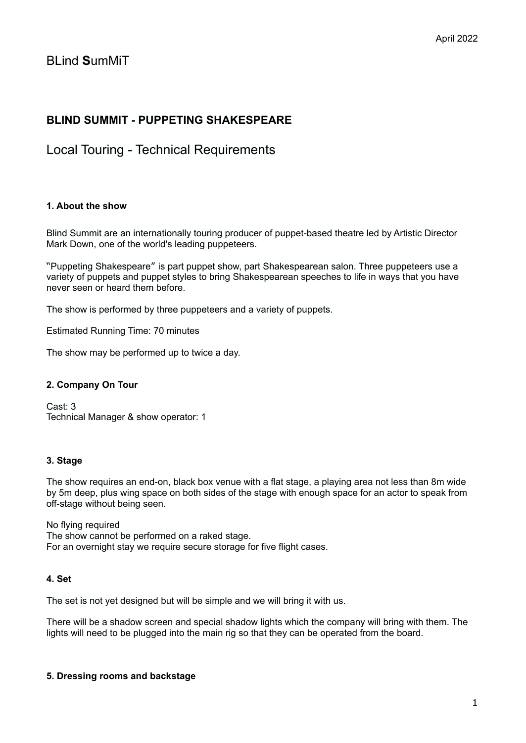# BLind **S**umMiT

## **BLIND SUMMIT - PUPPETING SHAKESPEARE**

Local Touring - Technical Requirements

## **1. About the show**

Blind Summit are an internationally touring producer of puppet-based theatre led by Artistic Director Mark Down, one of the world's leading puppeteers.

"Puppeting Shakespeare" is part puppet show, part Shakespearean salon. Three puppeteers use a variety of puppets and puppet styles to bring Shakespearean speeches to life in ways that you have never seen or heard them before.

The show is performed by three puppeteers and a variety of puppets.

Estimated Running Time: 70 minutes

The show may be performed up to twice a day.

#### **2. Company On Tour**

Cast: 3 Technical Manager & show operator: 1

#### **3. Stage**

The show requires an end-on, black box venue with a flat stage, a playing area not less than 8m wide by 5m deep, plus wing space on both sides of the stage with enough space for an actor to speak from off-stage without being seen.

No flying required The show cannot be performed on a raked stage. For an overnight stay we require secure storage for five flight cases.

#### **4. Set**

The set is not yet designed but will be simple and we will bring it with us.

There will be a shadow screen and special shadow lights which the company will bring with them. The lights will need to be plugged into the main rig so that they can be operated from the board.

#### **5. Dressing rooms and backstage**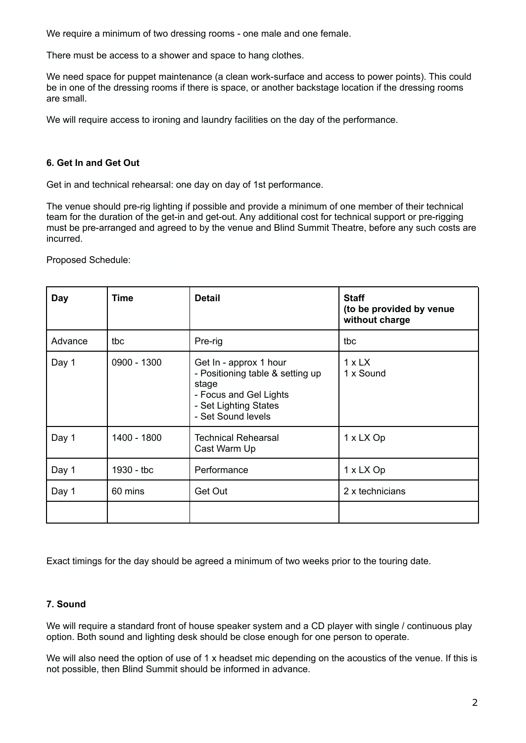We require a minimum of two dressing rooms - one male and one female.

There must be access to a shower and space to hang clothes.

We need space for puppet maintenance (a clean work-surface and access to power points). This could be in one of the dressing rooms if there is space, or another backstage location if the dressing rooms are small.

We will require access to ironing and laundry facilities on the day of the performance.

#### **6. Get In and Get Out**

Get in and technical rehearsal: one day on day of 1st performance.

The venue should pre-rig lighting if possible and provide a minimum of one member of their technical team for the duration of the get-in and get-out. Any additional cost for technical support or pre-rigging must be pre-arranged and agreed to by the venue and Blind Summit Theatre, before any such costs are incurred.

Proposed Schedule:

| Day     | Time        | <b>Detail</b>                                                                                                                                | <b>Staff</b><br>(to be provided by venue<br>without charge |
|---------|-------------|----------------------------------------------------------------------------------------------------------------------------------------------|------------------------------------------------------------|
| Advance | tbc         | Pre-rig                                                                                                                                      | tbc                                                        |
| Day 1   | 0900 - 1300 | Get In - approx 1 hour<br>- Positioning table & setting up<br>stage<br>- Focus and Gel Lights<br>- Set Lighting States<br>- Set Sound levels | $1 \times LX$<br>1 x Sound                                 |
| Day 1   | 1400 - 1800 | Technical Rehearsal<br>Cast Warm Up                                                                                                          | 1 x LX Op                                                  |
| Day 1   | 1930 - tbc  | Performance                                                                                                                                  | 1 x LX Op                                                  |
| Day 1   | 60 mins     | Get Out                                                                                                                                      | 2 x technicians                                            |
|         |             |                                                                                                                                              |                                                            |

Exact timings for the day should be agreed a minimum of two weeks prior to the touring date.

## **7. Sound**

We will require a standard front of house speaker system and a CD player with single / continuous play option. Both sound and lighting desk should be close enough for one person to operate.

We will also need the option of use of 1 x headset mic depending on the acoustics of the venue. If this is not possible, then Blind Summit should be informed in advance.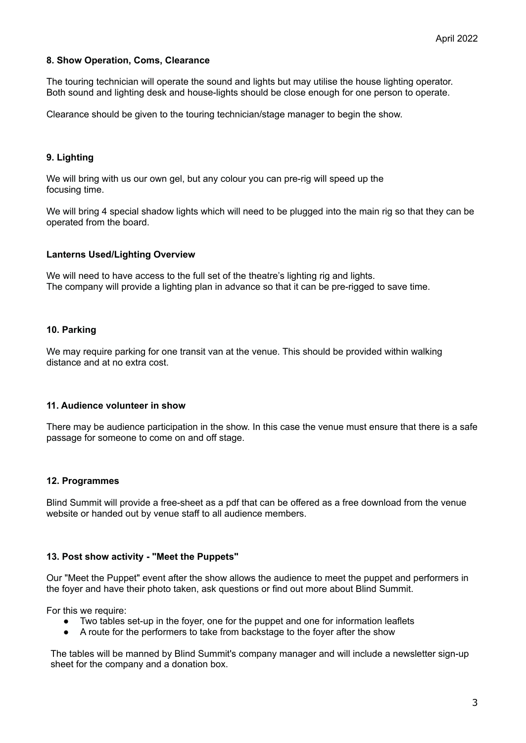## **8. Show Operation, Coms, Clearance**

The touring technician will operate the sound and lights but may utilise the house lighting operator. Both sound and lighting desk and house-lights should be close enough for one person to operate.

Clearance should be given to the touring technician/stage manager to begin the show.

## **9. Lighting**

We will bring with us our own gel, but any colour you can pre-rig will speed up the focusing time.

We will bring 4 special shadow lights which will need to be plugged into the main rig so that they can be operated from the board.

#### **Lanterns Used/Lighting Overview**

We will need to have access to the full set of the theatre's lighting rig and lights. The company will provide a lighting plan in advance so that it can be pre-rigged to save time.

## **10. Parking**

We may require parking for one transit van at the venue. This should be provided within walking distance and at no extra cost.

#### **11. Audience volunteer in show**

There may be audience participation in the show. In this case the venue must ensure that there is a safe passage for someone to come on and off stage.

## **12. Programmes**

Blind Summit will provide a free-sheet as a pdf that can be offered as a free download from the venue website or handed out by venue staff to all audience members.

#### **13. Post show activity - "Meet the Puppets"**

Our "Meet the Puppet" event after the show allows the audience to meet the puppet and performers in the foyer and have their photo taken, ask questions or find out more about Blind Summit.

For this we require:

- Two tables set-up in the foyer, one for the puppet and one for information leaflets
- A route for the performers to take from backstage to the foyer after the show

The tables will be manned by Blind Summit's company manager and will include a newsletter sign-up sheet for the company and a donation box.